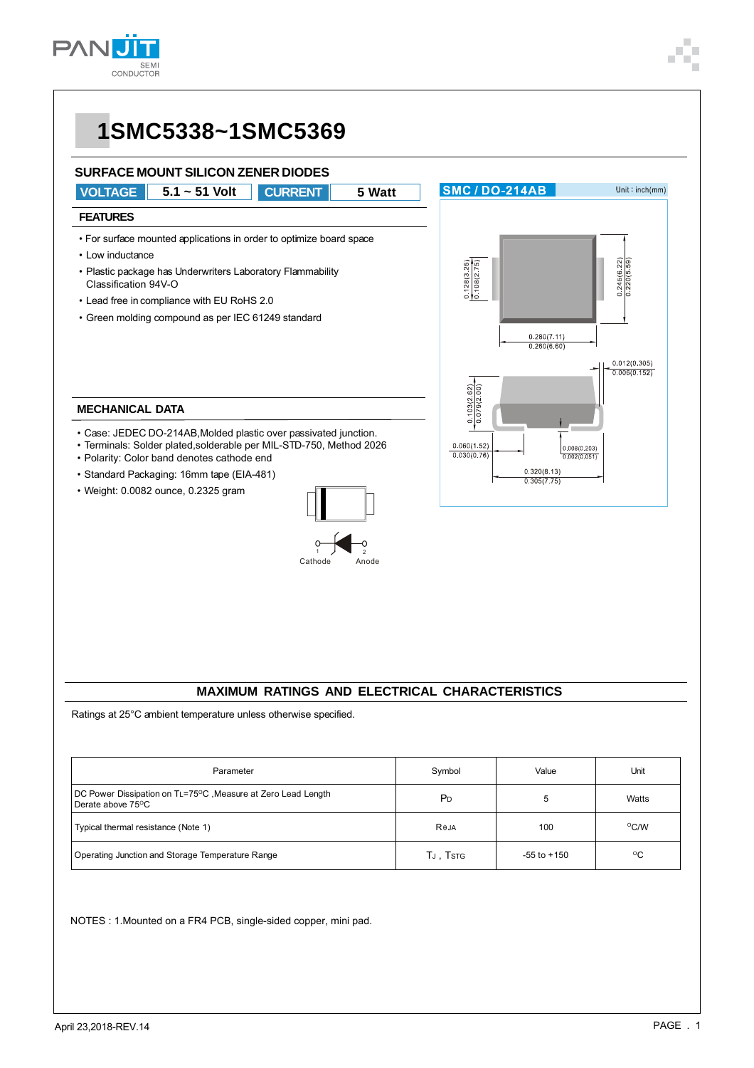



#### **MAXIMUM RATINGS AND ELECTRICAL CHARACTERISTICS**

Ratings at 25°C ambient temperature unless otherwise specified.

| Parameter                                                                                                   | Symbol         | Value           | Unit          |
|-------------------------------------------------------------------------------------------------------------|----------------|-----------------|---------------|
| DC Power Dissipation on TL=75 <sup>o</sup> C, Measure at Zero Lead Length<br>Derate above 75 <sup>o</sup> C | P <sub>D</sub> | 5               | Watts         |
| Typical thermal resistance (Note 1)                                                                         | Reja           | 100             | $\rm ^{O}C/W$ |
| Operating Junction and Storage Temperature Range                                                            | TJ, TSTG       | $-55$ to $+150$ | $^{\circ}$ C  |

NOTES : 1.Mounted on a FR4 PCB, single-sided copper, mini pad.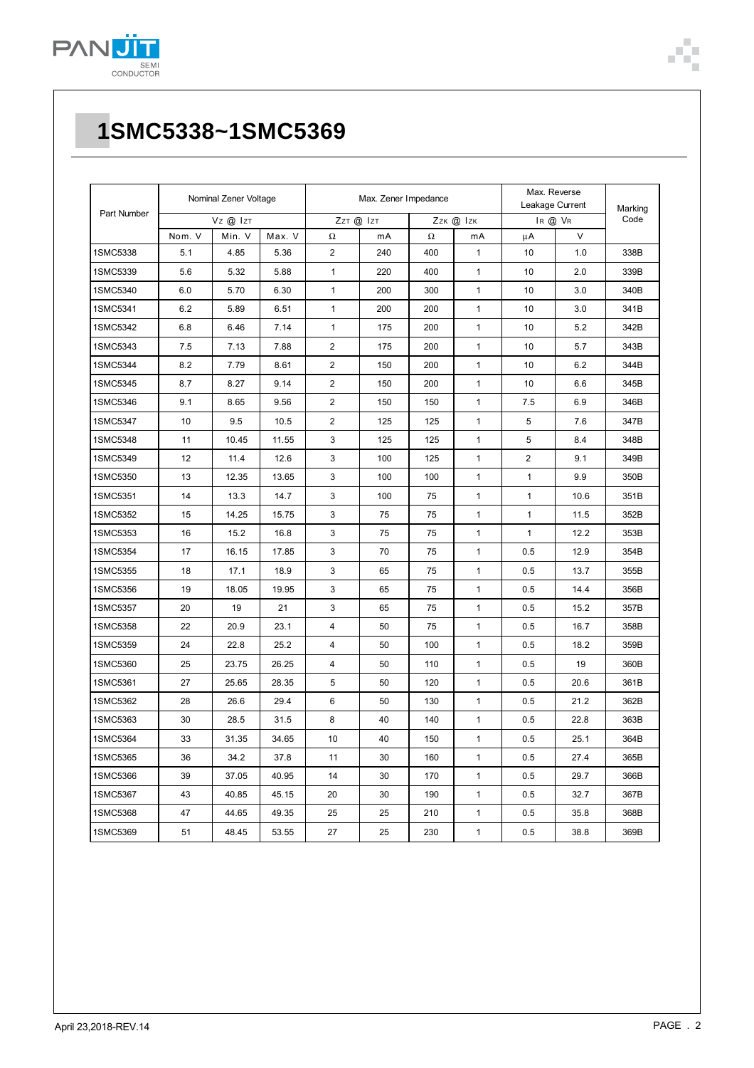

| Part Number | Nominal Zener Voltage |        | Max. Zener Impedance |                |           |     | Max. Reverse<br>Leakage Current |                | Marking |      |
|-------------|-----------------------|--------|----------------------|----------------|-----------|-----|---------------------------------|----------------|---------|------|
|             | Vz @ Izt              |        | ZzT @ IzT            |                | Zzk @ Izk |     | IR @ VR                         |                | Code    |      |
|             | Nom. V                | Min. V | Max. V               | Ω              | mA        | Ω   | mA                              | μA             | $\vee$  |      |
| 1SMC5338    | 5.1                   | 4.85   | 5.36                 | 2              | 240       | 400 | $\mathbf{1}$                    | 10             | 1.0     | 338B |
| 1SMC5339    | 5.6                   | 5.32   | 5.88                 | $\mathbf{1}$   | 220       | 400 | $\mathbf{1}$                    | 10             | 2.0     | 339B |
| 1SMC5340    | 6.0                   | 5.70   | 6.30                 | 1              | 200       | 300 | $\mathbf{1}$                    | 10             | 3.0     | 340B |
| 1SMC5341    | 6.2                   | 5.89   | 6.51                 | $\mathbf{1}$   | 200       | 200 | $\mathbf{1}$                    | 10             | 3.0     | 341B |
| 1SMC5342    | 6.8                   | 6.46   | 7.14                 | 1              | 175       | 200 | 1                               | 10             | 5.2     | 342B |
| 1SMC5343    | 7.5                   | 7.13   | 7.88                 | $\overline{2}$ | 175       | 200 | $\mathbf{1}$                    | 10             | 5.7     | 343B |
| 1SMC5344    | 8.2                   | 7.79   | 8.61                 | $\overline{c}$ | 150       | 200 | $\mathbf{1}$                    | 10             | 6.2     | 344B |
| 1SMC5345    | 8.7                   | 8.27   | 9.14                 | $\overline{2}$ | 150       | 200 | $\mathbf{1}$                    | 10             | 6.6     | 345B |
| 1SMC5346    | 9.1                   | 8.65   | 9.56                 | $\overline{2}$ | 150       | 150 | $\mathbf{1}$                    | 7.5            | 6.9     | 346B |
| 1SMC5347    | 10                    | 9.5    | 10.5                 | 2              | 125       | 125 | $\mathbf{1}$                    | 5              | 7.6     | 347B |
| 1SMC5348    | 11                    | 10.45  | 11.55                | 3              | 125       | 125 | $\mathbf{1}$                    | 5              | 8.4     | 348B |
| 1SMC5349    | 12                    | 11.4   | 12.6                 | 3              | 100       | 125 | 1                               | $\overline{c}$ | 9.1     | 349B |
| 1SMC5350    | 13                    | 12.35  | 13.65                | 3              | 100       | 100 | $\mathbf{1}$                    | $\mathbf{1}$   | 9.9     | 350B |
| 1SMC5351    | 14                    | 13.3   | 14.7                 | 3              | 100       | 75  | $\mathbf{1}$                    | $\mathbf{1}$   | 10.6    | 351B |
| 1SMC5352    | 15                    | 14.25  | 15.75                | 3              | 75        | 75  | $\mathbf{1}$                    | $\mathbf{1}$   | 11.5    | 352B |
| 1SMC5353    | 16                    | 15.2   | 16.8                 | 3              | 75        | 75  | $\mathbf{1}$                    | $\mathbf{1}$   | 12.2    | 353B |
| 1SMC5354    | 17                    | 16.15  | 17.85                | 3              | 70        | 75  | 1                               | 0.5            | 12.9    | 354B |
| 1SMC5355    | 18                    | 17.1   | 18.9                 | 3              | 65        | 75  | $\mathbf{1}$                    | 0.5            | 13.7    | 355B |
| 1SMC5356    | 19                    | 18.05  | 19.95                | 3              | 65        | 75  | $\mathbf{1}$                    | 0.5            | 14.4    | 356B |
| 1SMC5357    | 20                    | 19     | 21                   | 3              | 65        | 75  | $\mathbf{1}$                    | 0.5            | 15.2    | 357B |
| 1SMC5358    | 22                    | 20.9   | 23.1                 | 4              | 50        | 75  | $\mathbf{1}$                    | 0.5            | 16.7    | 358B |
| 1SMC5359    | 24                    | 22.8   | 25.2                 | 4              | 50        | 100 | $\mathbf{1}$                    | 0.5            | 18.2    | 359B |
| 1SMC5360    | 25                    | 23.75  | 26.25                | 4              | 50        | 110 | $\mathbf{1}$                    | 0.5            | 19      | 360B |
| 1SMC5361    | 27                    | 25.65  | 28.35                | 5              | 50        | 120 | $\mathbf{1}$                    | 0.5            | 20.6    | 361B |
| 1SMC5362    | 28                    | 26.6   | 29.4                 | 6              | 50        | 130 | $\mathbf{1}$                    | 0.5            | 21.2    | 362B |
| 1SMC5363    | 30                    | 28.5   | 31.5                 | 8              | 40        | 140 | 1                               | 0.5            | 22.8    | 363B |
| 1SMC5364    | 33                    | 31.35  | 34.65                | 10             | 40        | 150 | $\mathbf{1}$                    | 0.5            | 25.1    | 364B |
| 1SMC5365    | 36                    | 34.2   | 37.8                 | 11             | 30        | 160 | $\mathbf{1}$                    | 0.5            | 27.4    | 365B |
| 1SMC5366    | 39                    | 37.05  | 40.95                | 14             | 30        | 170 | $\mathbf{1}$                    | 0.5            | 29.7    | 366B |
| 1SMC5367    | 43                    | 40.85  | 45.15                | 20             | 30        | 190 | $\mathbf{1}$                    | 0.5            | 32.7    | 367B |
| 1SMC5368    | 47                    | 44.65  | 49.35                | 25             | 25        | 210 | 1                               | 0.5            | 35.8    | 368B |
| 1SMC5369    | 51                    | 48.45  | 53.55                | 27             | 25        | 230 | $\mathbf{1}$                    | 0.5            | 38.8    | 369B |

Ì.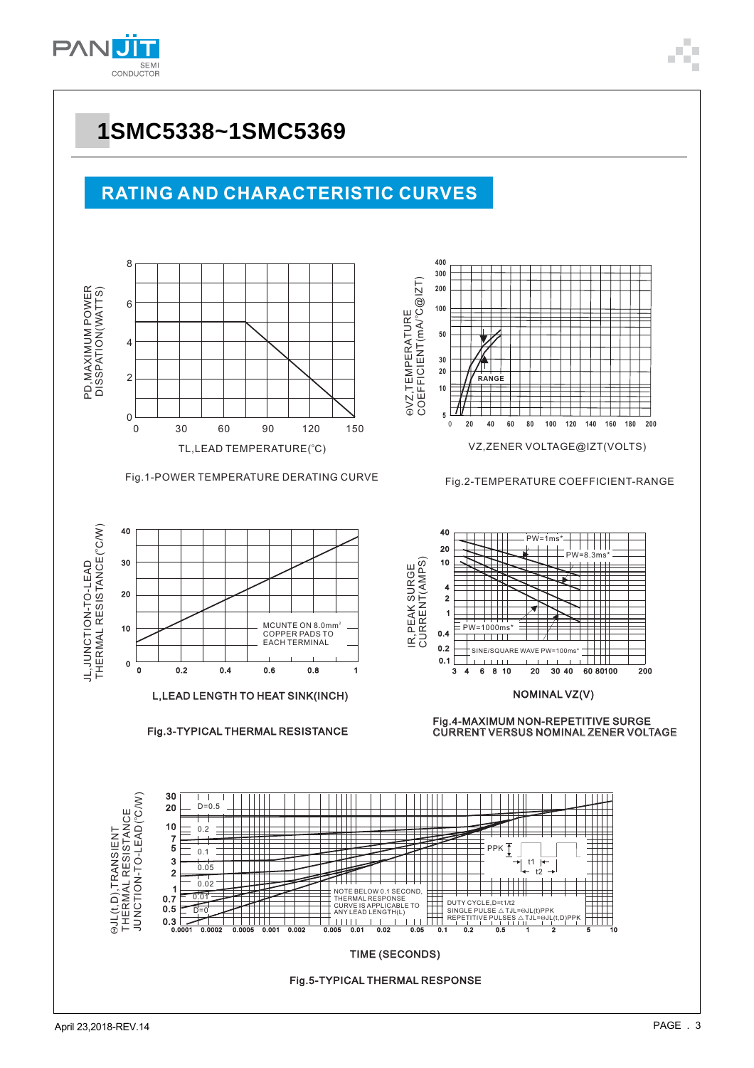



### **RATING AND CHARACTERISTIC CURVES**





Fig.2-TEMPERATURE COEFFICIENT-RANGE



L, LEAD LENGTH TO HEAT SINK(INCH)

Fig.3-TYPICAL THERMAL RESISTANCE



NOMINAL VZ(V)

CURRENT VERSUS NOMINAL ZENER VOLT CURRENT VERSUS NOMINAL ZENER VOLTAGE CURRENT VERSUS NOMINAL ZEN

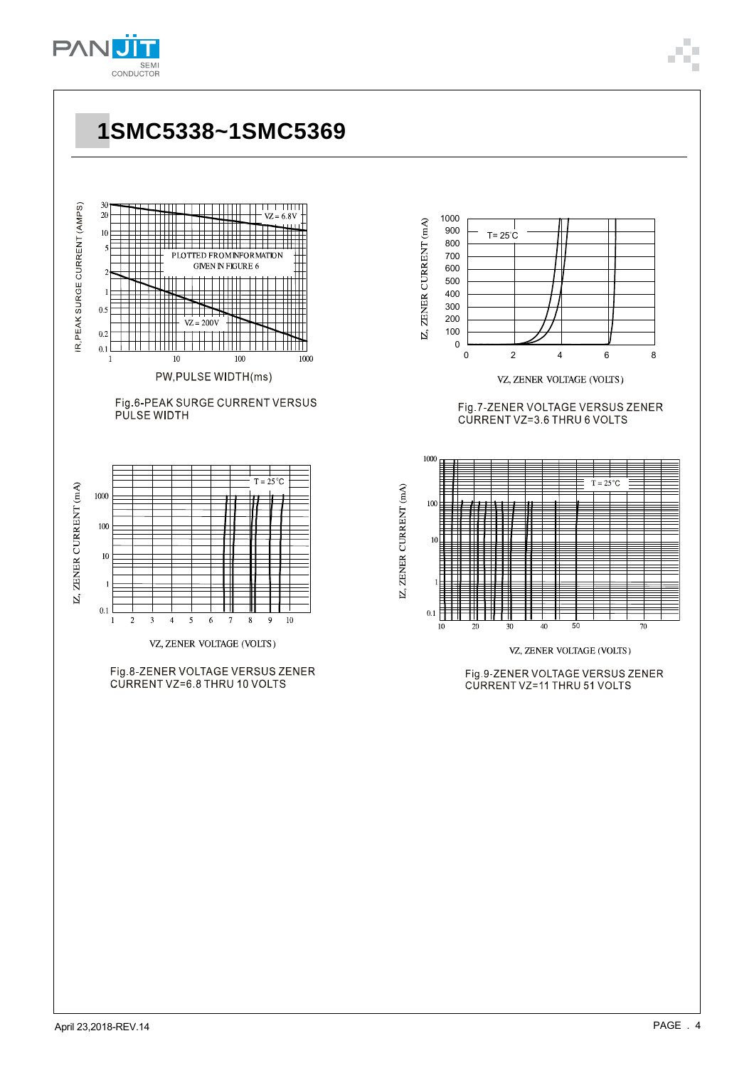

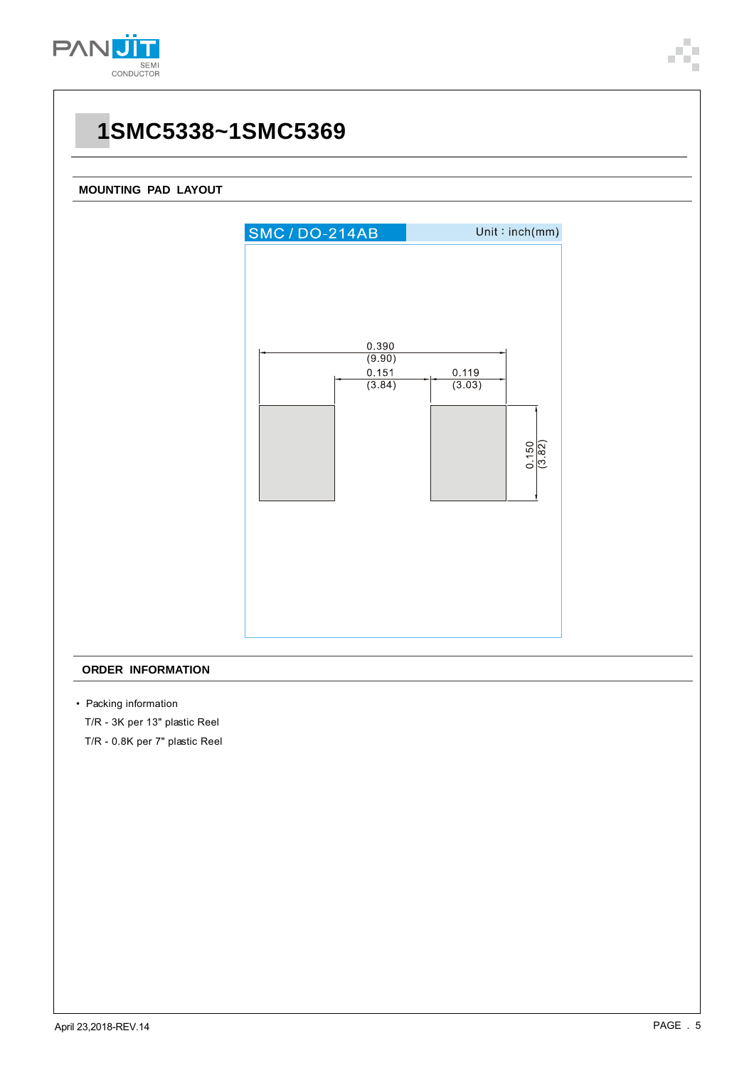

#### **MOUNTING PAD LAYOUT**



#### **ORDER INFORMATION**

• Packing information

T/R - 3K per 13" plastic Reel

T/R - 0.8K per 7" plastic Reel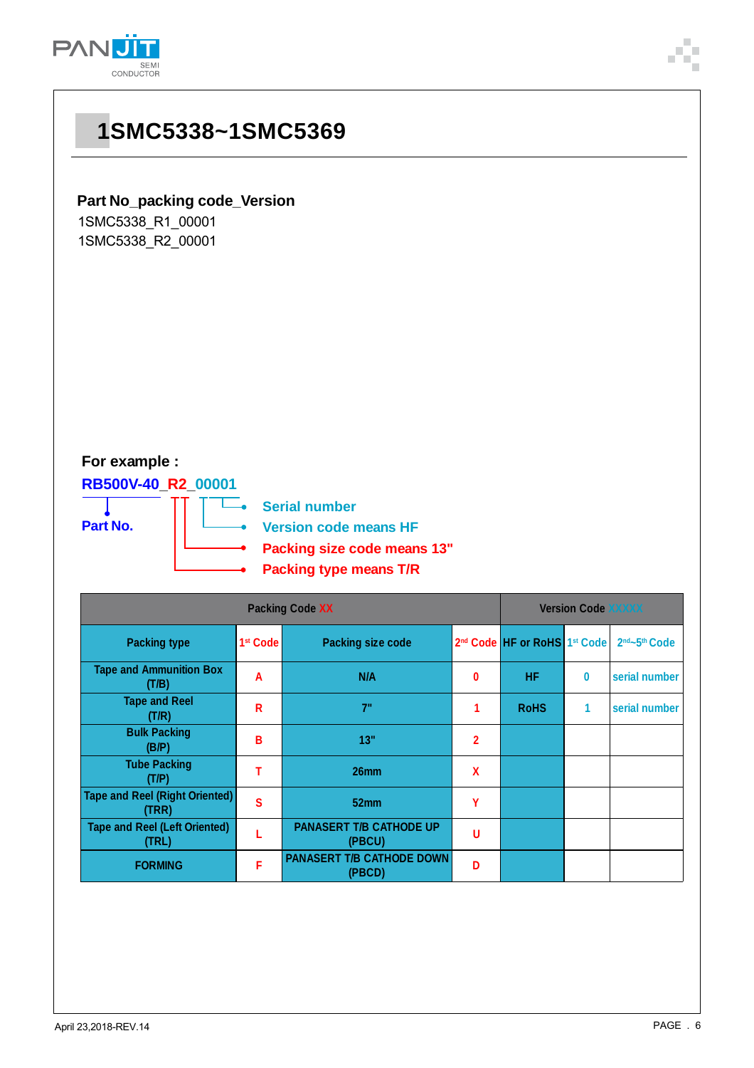

### **Part No\_packing code\_Version**

1SMC5338\_R1\_00001 1SMC5338\_R2\_00001

### **For example :**

**RB500V-40\_R2\_00001**

**Part No.**

**Serial number**

 $\overline{\phantom{a}}$ 

**Version code means HF**

**Packing size code means 13"**

**Packing type means T/R**

| <b>Packing Code XX</b>                         |                      |                                            |                |                                                      | <b>Version Code XXXXX</b> |                                       |  |  |
|------------------------------------------------|----------------------|--------------------------------------------|----------------|------------------------------------------------------|---------------------------|---------------------------------------|--|--|
| <b>Packing type</b>                            | 1 <sup>st</sup> Code | <b>Packing size code</b>                   |                | 2 <sup>nd</sup> Code HF or RoHS 1 <sup>st</sup> Code |                           | 2 <sup>nd</sup> ~5 <sup>th</sup> Code |  |  |
| <b>Tape and Ammunition Box</b><br>(T/B)        | A                    | N/A                                        | 0              | <b>HF</b>                                            | $\bf{0}$                  | serial number                         |  |  |
| <b>Tape and Reel</b><br>(T/R)                  | R                    | 7"                                         |                | <b>RoHS</b>                                          | 1                         | serial number                         |  |  |
| <b>Bulk Packing</b><br>(B/P)                   | B                    | 13"                                        | $\overline{2}$ |                                                      |                           |                                       |  |  |
| <b>Tube Packing</b><br>(T/P)                   |                      | 26mm                                       | χ              |                                                      |                           |                                       |  |  |
| <b>Tape and Reel (Right Oriented)</b><br>(TRR) | S                    | 52mm                                       | Υ              |                                                      |                           |                                       |  |  |
| <b>Tape and Reel (Left Oriented)</b><br>(TRL)  |                      | <b>PANASERT T/B CATHODE UP</b><br>(PBCU)   | U              |                                                      |                           |                                       |  |  |
| <b>FORMING</b>                                 | F                    | <b>PANASERT T/B CATHODE DOWN</b><br>(PBCD) | D              |                                                      |                           |                                       |  |  |